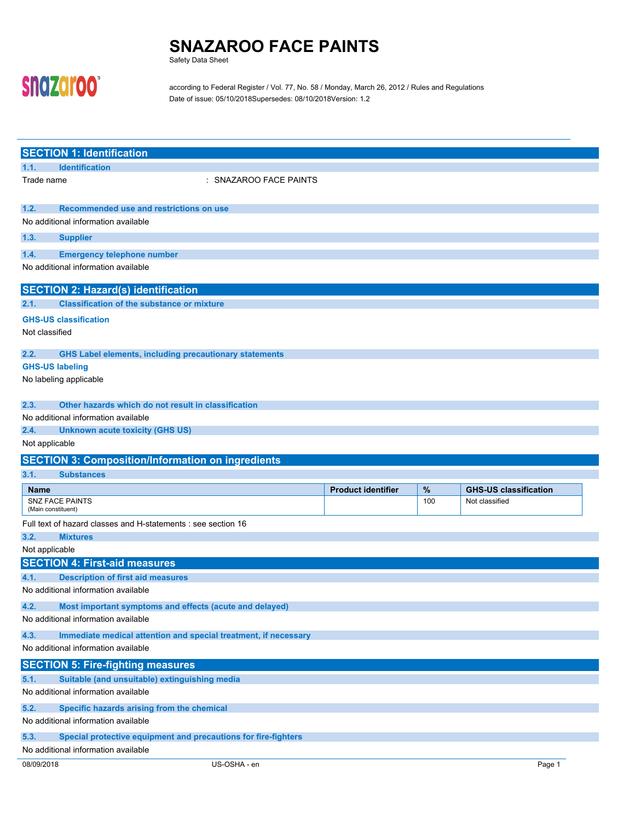Safety Data Sheet

# snazaroo"

according to Federal Register / Vol. 77, No. 58 / Monday, March 26, 2012 / Rules and Regulations Date of issue: 05/10/2018Supersedes: 08/10/2018Version: 1.2

|                                                    | <b>SECTION 1: Identification</b>                                         |                        |                           |      |                              |  |
|----------------------------------------------------|--------------------------------------------------------------------------|------------------------|---------------------------|------|------------------------------|--|
| 1.1.                                               | <b>Identification</b>                                                    |                        |                           |      |                              |  |
| Trade name                                         |                                                                          | : SNAZAROO FACE PAINTS |                           |      |                              |  |
| 1.2.                                               | Recommended use and restrictions on use                                  |                        |                           |      |                              |  |
|                                                    | No additional information available                                      |                        |                           |      |                              |  |
| 1.3.                                               |                                                                          |                        |                           |      |                              |  |
|                                                    | <b>Supplier</b>                                                          |                        |                           |      |                              |  |
| 1.4.                                               | <b>Emergency telephone number</b><br>No additional information available |                        |                           |      |                              |  |
|                                                    |                                                                          |                        |                           |      |                              |  |
|                                                    | <b>SECTION 2: Hazard(s) identification</b>                               |                        |                           |      |                              |  |
| 2.1.                                               | <b>Classification of the substance or mixture</b>                        |                        |                           |      |                              |  |
|                                                    | <b>GHS-US classification</b>                                             |                        |                           |      |                              |  |
| Not classified                                     |                                                                          |                        |                           |      |                              |  |
| 2.2.                                               | <b>GHS Label elements, including precautionary statements</b>            |                        |                           |      |                              |  |
|                                                    | <b>GHS-US labeling</b>                                                   |                        |                           |      |                              |  |
|                                                    | No labeling applicable                                                   |                        |                           |      |                              |  |
|                                                    |                                                                          |                        |                           |      |                              |  |
| 2.3.                                               | Other hazards which do not result in classification                      |                        |                           |      |                              |  |
|                                                    | No additional information available                                      |                        |                           |      |                              |  |
| 2.4.                                               | <b>Unknown acute toxicity (GHS US)</b>                                   |                        |                           |      |                              |  |
| Not applicable                                     |                                                                          |                        |                           |      |                              |  |
|                                                    | <b>SECTION 3: Composition/Information on ingredients</b>                 |                        |                           |      |                              |  |
| 3.1.                                               | <b>Substances</b>                                                        |                        |                           |      |                              |  |
| <b>Name</b>                                        |                                                                          |                        | <b>Product identifier</b> | $\%$ | <b>GHS-US classification</b> |  |
|                                                    | <b>SNZ FACE PAINTS</b><br>(Main constituent)                             |                        |                           | 100  | Not classified               |  |
|                                                    | Full text of hazard classes and H-statements : see section 16            |                        |                           |      |                              |  |
| 3.2.                                               | <b>Mixtures</b>                                                          |                        |                           |      |                              |  |
| Not applicable                                     |                                                                          |                        |                           |      |                              |  |
|                                                    | <b>SECTION 4: First-aid measures</b>                                     |                        |                           |      |                              |  |
| 4.1.                                               | <b>Description of first aid measures</b>                                 |                        |                           |      |                              |  |
|                                                    | No additional information available                                      |                        |                           |      |                              |  |
| 4.2.                                               | Most important symptoms and effects (acute and delayed)                  |                        |                           |      |                              |  |
|                                                    | No additional information available                                      |                        |                           |      |                              |  |
| 4.3.                                               | Immediate medical attention and special treatment, if necessary          |                        |                           |      |                              |  |
|                                                    | No additional information available                                      |                        |                           |      |                              |  |
|                                                    | <b>SECTION 5: Fire-fighting measures</b>                                 |                        |                           |      |                              |  |
| 5.1.                                               | Suitable (and unsuitable) extinguishing media                            |                        |                           |      |                              |  |
|                                                    | No additional information available                                      |                        |                           |      |                              |  |
| Specific hazards arising from the chemical<br>5.2. |                                                                          |                        |                           |      |                              |  |
|                                                    | No additional information available                                      |                        |                           |      |                              |  |
| 5.3.                                               | Special protective equipment and precautions for fire-fighters           |                        |                           |      |                              |  |
|                                                    | No additional information available                                      |                        |                           |      |                              |  |
| 08/09/2018                                         |                                                                          | US-OSHA - en           |                           |      | Page 1                       |  |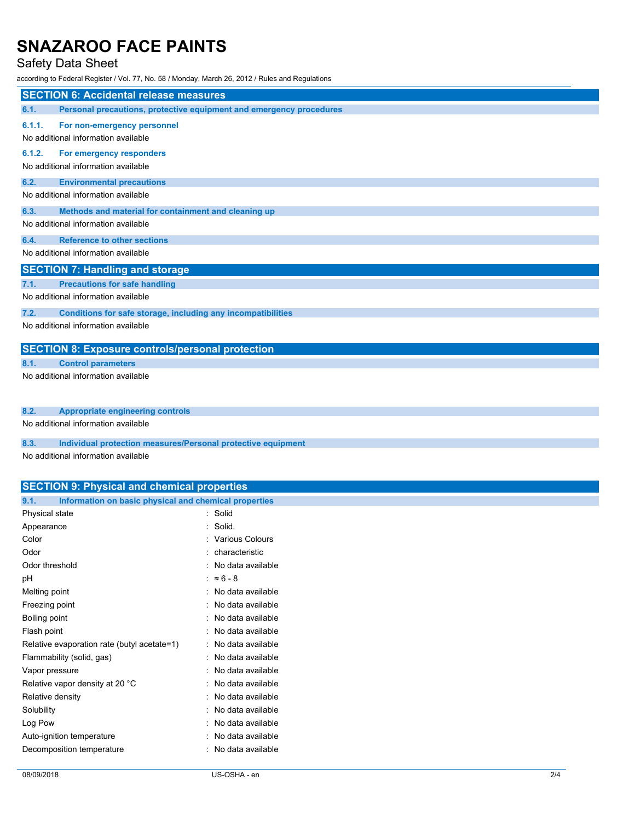# Safety Data Sheet

according to Federal Register / Vol. 77, No. 58 / Monday, March 26, 2012 / Rules and Regulations

|        | <b>SECTION 6: Accidental release measures</b>                       |
|--------|---------------------------------------------------------------------|
| 6.1.   | Personal precautions, protective equipment and emergency procedures |
| 6.1.1. | For non-emergency personnel<br>No additional information available  |
| 6.1.2. | For emergency responders<br>No additional information available     |
| 6.2.   | <b>Environmental precautions</b>                                    |
|        | No additional information available                                 |
| 6.3.   | Methods and material for containment and cleaning up                |
|        | No additional information available                                 |
| 6.4.   | <b>Reference to other sections</b>                                  |
|        | No additional information available                                 |
|        | <b>SECTION 7: Handling and storage</b>                              |
| 7.1.   | <b>Precautions for safe handling</b>                                |
|        | No additional information available                                 |
| 7.2.   | Conditions for safe storage, including any incompatibilities        |
|        | No additional information available                                 |
|        | <b>SECTION 8: Exposure controls/personal protection</b>             |
| 8.1.   | <b>Control parameters</b>                                           |
|        | No additional information available                                 |
| 8.2.   | <b>Appropriate engineering controls</b>                             |
|        | No additional information available                                 |

**8.3. Individual protection measures/Personal protective equipment**

No additional information available

# **SECTION 9: Physical and chemical properties**

| 9.1.<br>Information on basic physical and chemical properties |                     |
|---------------------------------------------------------------|---------------------|
| Physical state                                                | : Solid             |
| Appearance                                                    | : Solid.            |
| Color                                                         | : Various Colours   |
| Odor                                                          | : characteristic    |
| Odor threshold                                                | : No data available |
| рH                                                            | : $\approx 6-8$     |
| Melting point                                                 | : No data available |
| Freezing point                                                | : No data available |
| Boiling point                                                 | : No data available |
| Flash point                                                   | : No data available |
| Relative evaporation rate (butyl acetate=1)                   | : No data available |
| Flammability (solid, gas)                                     | : No data available |
| Vapor pressure                                                | : No data available |
| Relative vapor density at 20 °C                               | : No data available |
| Relative density                                              | : No data available |
| Solubility                                                    | : No data available |
| Log Pow                                                       | : No data available |
| Auto-ignition temperature                                     | : No data available |
| Decomposition temperature                                     | : No data available |
|                                                               |                     |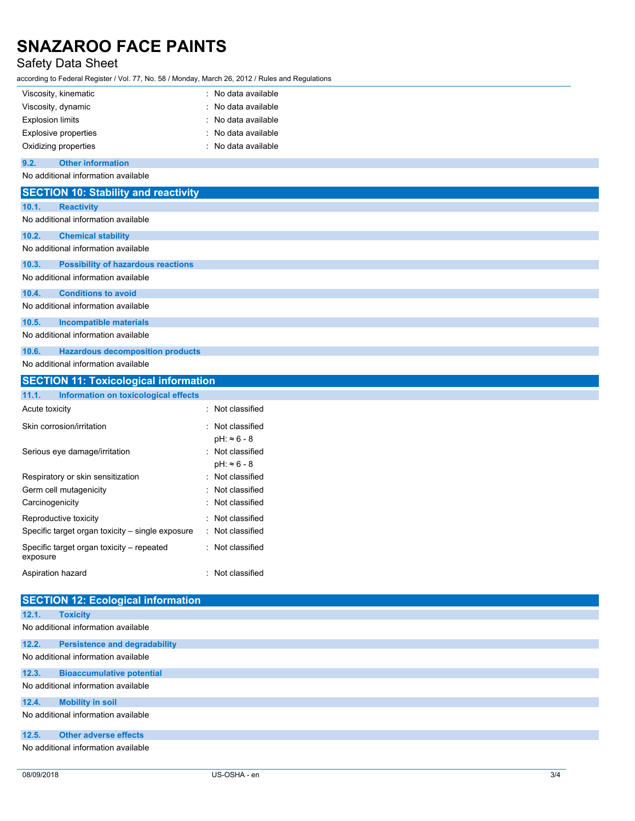# Safety Data Sheet

according to Federal Register / Vol. 77, No. 58 / Monday, March 26, 2012 / Rules and Regulations

|       | Viscosity, kinematic                         | : No data available |
|-------|----------------------------------------------|---------------------|
|       | Viscosity, dynamic                           | : No data available |
|       | <b>Explosion limits</b>                      | : No data available |
|       | Explosive properties                         | : No data available |
|       | Oxidizing properties                         | : No data available |
| 9.2.  | <b>Other information</b>                     |                     |
|       | No additional information available          |                     |
|       | <b>SECTION 10: Stability and reactivity</b>  |                     |
| 10.1. | <b>Reactivity</b>                            |                     |
|       | No additional information available          |                     |
| 10.2. | <b>Chemical stability</b>                    |                     |
|       | No additional information available          |                     |
| 10.3. | <b>Possibility of hazardous reactions</b>    |                     |
|       | No additional information available          |                     |
| 10.4. | <b>Conditions to avoid</b>                   |                     |
|       | No additional information available          |                     |
| 10.5. | <b>Incompatible materials</b>                |                     |
|       | No additional information available          |                     |
| 10.6. | <b>Hazardous decomposition products</b>      |                     |
|       | No additional information available          |                     |
|       | <b>SECTION 11: Toxicological information</b> |                     |
|       |                                              |                     |

| SECTION TT: TOXICOlOGICAL INFORMATION                 |                                         |  |
|-------------------------------------------------------|-----------------------------------------|--|
| 11.1.<br>Information on toxicological effects         |                                         |  |
| Acute toxicity                                        | : Not classified                        |  |
| Skin corrosion/irritation                             | : Not classified<br>$pH: ~ 6 - 8$       |  |
| Serious eye damage/irritation                         | : Not classified<br>$pH: \approx 6 - 8$ |  |
| Respiratory or skin sensitization                     | : Not classified                        |  |
| Germ cell mutagenicity                                | : Not classified                        |  |
| Carcinogenicity                                       | : Not classified                        |  |
| Reproductive toxicity                                 | : Not classified                        |  |
| Specific target organ toxicity – single exposure      | : Not classified                        |  |
| Specific target organ toxicity - repeated<br>exposure | : Not classified                        |  |
| Aspiration hazard                                     | : Not classified                        |  |

| <b>SECTION 12: Ecological information</b> |                                      |  |
|-------------------------------------------|--------------------------------------|--|
| 12.1.                                     | <b>Toxicity</b>                      |  |
| No additional information available       |                                      |  |
| 12.2.                                     | <b>Persistence and degradability</b> |  |
| No additional information available       |                                      |  |
| 12.3.                                     | <b>Bioaccumulative potential</b>     |  |
|                                           | No additional information available  |  |
| 12.4.                                     | <b>Mobility in soil</b>              |  |
|                                           | No additional information available  |  |
| 12.5.                                     | <b>Other adverse effects</b>         |  |
| No additional information available       |                                      |  |